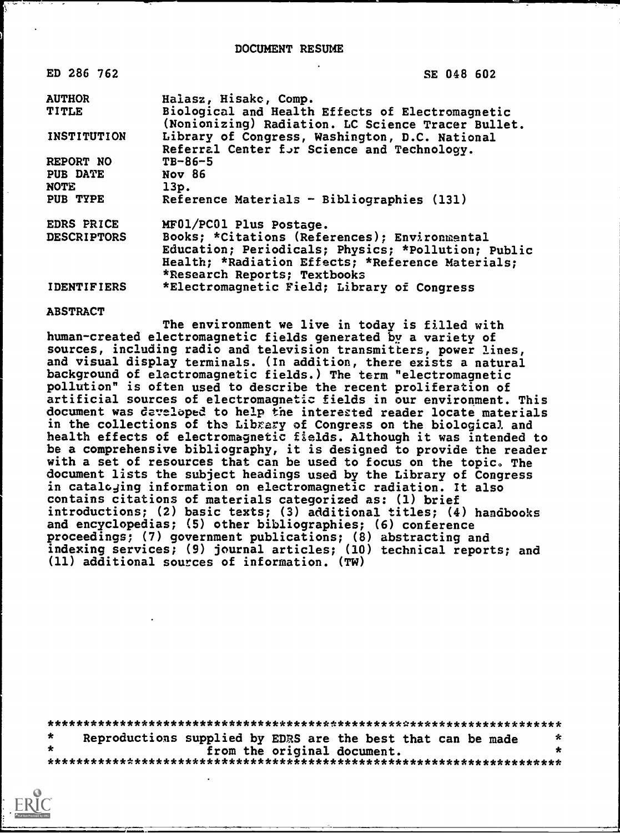DOCUMENT RESUME

| ED 286 762         | SE 048 602                                                                                             |
|--------------------|--------------------------------------------------------------------------------------------------------|
| <b>AUTHOR</b>      | Halasz, Hisakc, Comp.                                                                                  |
| TITLE              | Biological and Health Effects of Electromagnetic<br>(Nonionizing) Radiation. LC Science Tracer Bullet. |
| INSTITUTION        | Library of Congress, Washington, D.C. National<br>Referral Center for Science and Technology.          |
| REPORT NO          | $T_{B-86-5}$                                                                                           |
| <b>PUB DATE</b>    | Nov 86                                                                                                 |
| <b>NOTE</b>        | 13p.                                                                                                   |
| <b>PUB TYPE</b>    | Reference Materials - Bibliographies (131)                                                             |
| EDRS PRICE         | MF01/PC01 Plus Postage.                                                                                |
| <b>DESCRIPTORS</b> | Books; *Citations (References); Environmental                                                          |
|                    | Education; Periodicals; Physics; *Pollution; Public                                                    |
|                    | Health; *Radiation Effects; *Reference Materials;                                                      |
|                    | *Research Reports; Textbooks                                                                           |
| <b>IDENTIFIERS</b> | *Electromagnetic Field; Library of Congress                                                            |

ABSTRACT

The environment we live in today is filled with human-created electromagnetic fields generated by a variety of sources, including radio and television transmitters, power lines, and visual display terminals. (In addition, there exists a natural background of electromagnetic fields.) The term "electromagnetic pollution" is often used to describe the recent proliferation of artificial sources of electromagnetic fields in our environment. This document was developed to help the interested reader locate materials in the collections of the Library of Congress on the biological and health effects of electromagnetic fields. Although it was intended to be a comprehensive bibliography, it is designed to provide the reader with a set of resources that can be used to focus on the topic. The document lists the subject headings used by the Library of Congress in catalcjing information on electromagnetic radiation. It also contains citations of materials categorized as: (1) brief introductions; (2) basic texts; (3) additional titles; (4) handbooks and encyclopedias; (5) other bibliographies; (6) conference proceedings; (7) government publications; (8) abstracting and indexing services; (9) journal articles; (10) technical reports; and (11) additional sources of information. (TW)

\*\*\*\*\*\*\*\*\*\*\*\*\*\*\*\*\*\*\*\*\*\*\*\*\*\*\*\*\*\*\*\*\*\*\*\*\*\*\*\*\*\*\*\*\*\*\*\*\*\*\*\*\*\*\*\*\*\*\*\*\*\*\*\*\*\*\*\*\*\*\* Reproductions supplied by EDRS are the best that can be made  $*$ <br>from the original document. from the original document. \*\*\*\*\*\*\*\*\*\*\*\*\*\*\*\*\*\*\*\*\*\*\*\*\*\*\*\*\*\*\*\*\*\*\*\*\*\*\*\*\*\*\*\*\*\*\*\*\*\*\*\*\*\*\*\*\*\*\*\*\*\*\*\*\*\*\*\*\*\*\*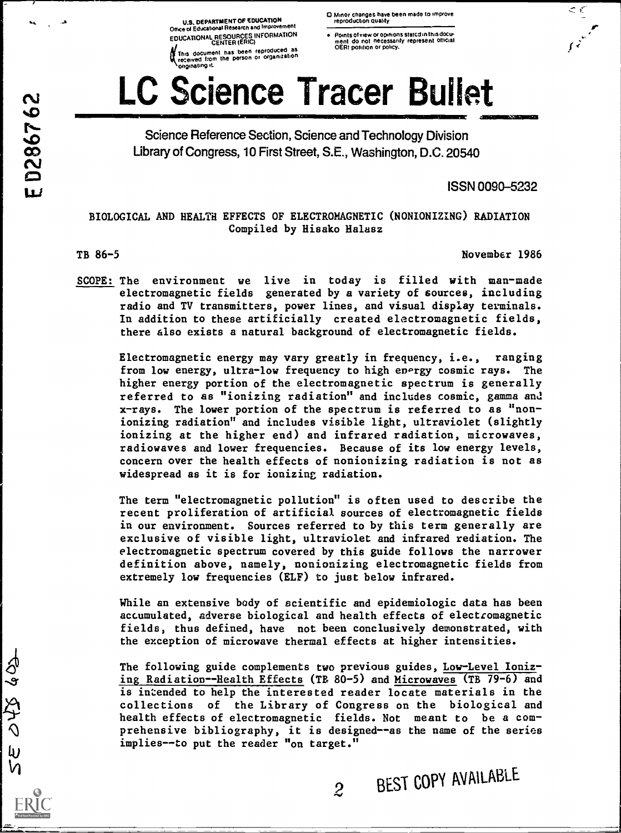U.S. DEPARTMENT OF EDUCATION<br>Office of Educational Research and Improvement EDUCATIONAL RESOURCES INFORMATION

(This document has been reproduced as received Isom the person or organization originating it.

- O Minor changes have been made to improve reproduction quality
- Points of view or opinions statcd in this docu-<br>ment ido: not: necessarily: represent: Official<br>OERI position or policy.

# LC Science Tracer Bullet i<br>Immediate of the State of the Contract of the Contract of the Contract of the Contract of the Contract of the

Science Reference Section, Science and Technology Division Library of Congress, 10 First Street, S.E., Washington, D.C. 20540

ISSN 0090-5232

 $\mathcal{L}$  $\mathbf{r}$  |

f;

## BIOLOGICAL AND HEALTH EFFECTS OF ELECTROMAGNETIC (NONIONIZING) RADIATION Compiled by Hisako Halasz

ED286762

 $\boldsymbol{\tau}$  and  $\boldsymbol{\tau}$ 

 $\omega$ 

TB 86-5 November 1986

SCOPE: The environment we live in today is filled with man-made electromagnetic fields generated by a variety of sources, including radio and TV transmitters, power lines, and visual display terminals. In addition to these artificially created electromagnetic fields, there also exists a natural background of electromagnetic fields.

Electromagnetic energy may vary greatly in frequency, i.e., ranging from low energy, ultra-low frequency to high energy cosmic rays. The higher energy portion of the electromagnetic spectrum is generally referred to as "ionizing radiation" and includes cosmic, gamma and x-rays. The lower portion of the spectrum is referred to as "nonionizing radiation" and includes visible light, ultraviolet (slightly ionizing at the higher end) and infrared radiation, microwaves, radiowaves and lower frequencies. Because of its low energy levels, concern over the health effects of nonionizing radiation is not as widespread as it is for ionizing radiation.

The term "electromagnetic pollution" is often used to describe the recent proliferation of artificial sources of electromagnetic fields in our environment. Sources referred to by this term generally are exclusive of visible light, ultraviolet and infrared rediation. The electromagnetic spectrum covered by this guide follows the narrower definition above, namely, nonionizing electromagnetic fields from extremely low frequencies (ELF) to just below infrared.

While an extensive body of scientific and epidemiologic data has been accumulated, adverse biological and health effects of electromagnetic fields, thus defined, have not been conclusively demonstrated, with the exception of microwave thermal effects at higher intensities.

The following guide complements two previous guides, Low-Level Ionizing Radiation--Health Effects (TB 80-5) and Microwaves (TB 79-6) and is intended to help the interested reader locate materials in the collections of the Library of Congress on the biological and health effects of electromagnetic fields. Not meant to be a comprehensive bibliography, it is designed--as the name of the series implies--to put the reader "on target."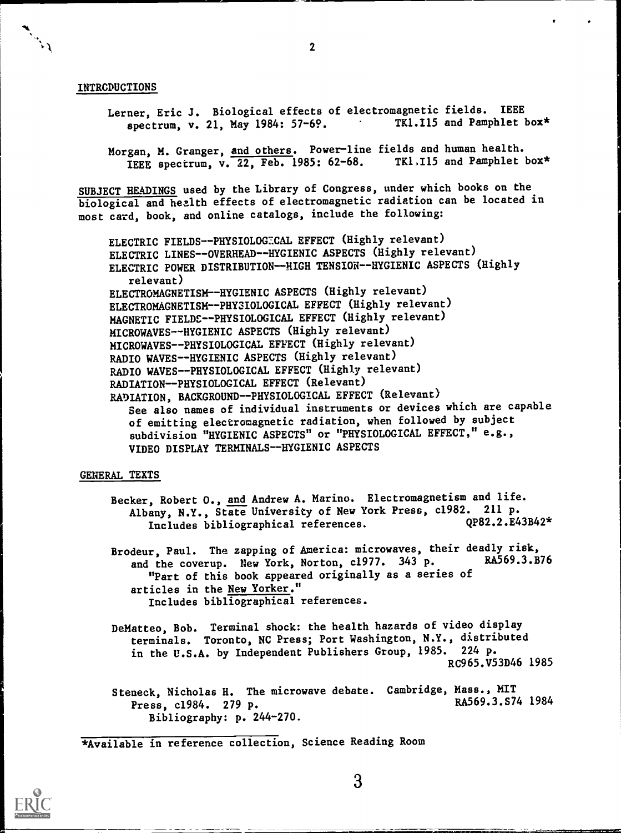#### INTRODUCTIONS

- Lerner, Eric J. Biological effects of electromagnetic fields. IEEE<br>spectrum, v. 21, May 1984: 57-69. TRI.I15 and Pamphlet box\* spectrum, v. 21, May 1984: 57-69.
- Morgan, M. Granger, and others. Power-line fields and human health.<br>TEER apectrum, V. 22, Feb. 1985: 62-68. TKI.I15 and Pamphlet box\* IEEE spectrum,  $v.\overline{22}$ , Feb. 1985: 62-68.

SUBJECT HEADINGS used by the Library of Congress, under which books on the biological and health effects of electromagnetic radiation can be located in most card, book, and online catalogs, include the following:

ELECTRIC FIELDS--PHYSIOLOGECAL EFFECT (Highly relevant) ELECTRIC LINES--OVERHEAD--HYGIENIC ASPECTS (Highly relevant) ELECTRIC POWER DISTRIBUTION--HIGH TENSION--HYGIENIC ASPECTS (Highly relevant) ELECTROMAGNETISM--HYGIENIC ASPECTS (Highly relevant) ELECTROMAGNETISM--PHYSIOLOGICAL EFFECT (Highly relevant) MAGNETIC FIELDC--PHYSIOLOGICAL EFFECT (Highly relevant) MICROWAVES--HYGIENIC ASPECTS (Highly relevant) MICROWAVES--PHYSIOLOGICAL EFFECT (Highly relevant) RADIO WAVES--HYGIENIC ASPECTS (Highly relevant) RADIO WAVES--PHYSIOLOGICAL EFFECT (Highly relevant) RADIATION--PHYSIOLOGICAL EFFECT (Relevant) RADIATION, BACKGROUND--PHYSIOLOGICAL EFFECT (Relevant) See also names of individual instruments or devices which are capable of emitting electromagnetic radiation, when followed by subject subdivision "HYGIENIC ASPECTS" or "PHYSIOLOGICAL EFFECT," e.g., VIDEO DISPLAY TERMINALS--HYGIENIC ASPECTS

### GENERAL TEXTS

Becker, Robert O., and Andrew A. Marino. Electromagnetism and life. Albany, N.Y., State University of New York Press, c1982. 211 p.<br>Includes bibliographical references. 0P82.2.E43B42\* Includes bibliographical references.

Brodeur, Paul. The zapping of America: microwaves, their deadly risk,<br>and the coverup. Nov York Norton c1977, 343 p. RA569.3.B76 and the coverup. New York, Norton, c1977. 343 p. "Part of this book appeared originally as a series of articles in the New Yorker." Includes bibliographical references.

DeMatteo, Bob. Terminal shock: the health hazards of video display terminals. Toronto, NC Press; Port Washington, N.Y., distributed in the U.S.A. by Independent Publishers Group, 1985. 224 p. RC965.V53D46 1985

Steneck, Nicholas H. The microwave debate. Cambridge, Mass., MIT<br>Press. cl<sup>984</sup> 279 P. Press, c1984. 279 p. Bibliography: p. 244-270.

\*Available in reference collection, Science Reading Room

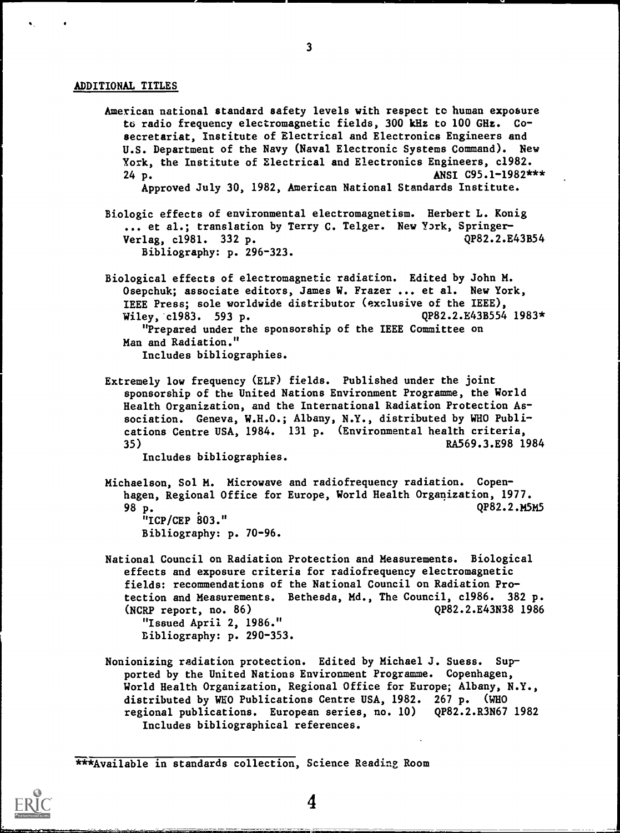#### ADDITIONAL TITLES

American national standard safety levels with respect to human exposure to radio frequency electromagnetic fields, 300 kHz to 100 GHz. Cosecretariat, Institute of Electrical and Electronics Engineers and U.S. Department of the Navy (Naval Electronic Systems Command). New York, the Institute of Electrical and Electronics Engineers, c1982.  $24 p.$  ANSI C95.1-1982\*\*\* Approved July 30, 1982, American National Standards Institute. Biologic effects of environmental electromagnetism. Herbert L. Konig ... et al.; translation by Terry C. Telger. New York, Springer-<br>Verlag. c1981. 332 p. 0P82.2.E43B54 Verlag, c1981. 332 p. Bibliography: p. 296-323. Biological effects of electromagnetic radiation. Edited by John M. Osepchuk; associate editors, James W. Frazer ... et al. New York, IEEE Press; sole worldwide distributor (exclusive of the IEEE), Wiley, c1983. 593 p. QP82.2.E43B554 1983\* "Prepared under the sponsorship of the IEEE Committee on Man and Radiation." Includes bibliographies. Extremely low frequency (ELF) fields. Published under the joint sponsorship of the United Nations Environment Programme, the World Health Organization, and the International Radiation Protection Association. Geneva, W.H.O.; Albany, N.Y., distributed by WHO Publications Centre USA, 1984. 131 p. (Environmental health criteria, 35) RA569.3.E98 1984

Includes bibliographies.

- Michaelson, Sol M. Microwave and radiofrequency radiation. Copenhagen, Regional Office for Europe, World Health Organization, 1977. 98 p. QP82.2.M5M5 "ICP/CEP 803." Bibliography: p. 70-96.
- National Council on Radiation Protection and Measurements. Biological effects and exposure criteria for radiofrequency electromagnetic fields: recommendations of the National Council on Radiation Protection and Measurements. Bethesda, Md., The Council, c1986. 382 p. (NCRP report, no. 86) QP82.2.E43N38 1986 "Issued April 2, 1986." Bibliography: p. 290-353.
- Nonionizing radiation protection. Edited by Michael J. Suess. Supported by the United Nations Environment Programme. Copenhagen, World Health Organization, Regional Office for Europe; Albany, N.Y., distributed by WHO Publications Centre USA, 1982. 267 p. (WHO regional publications. European series, no. 10) QP82.2.R3N67 1982 Includes bibliographical references.

\*\*\*Available in standards collection, Science Reading Room

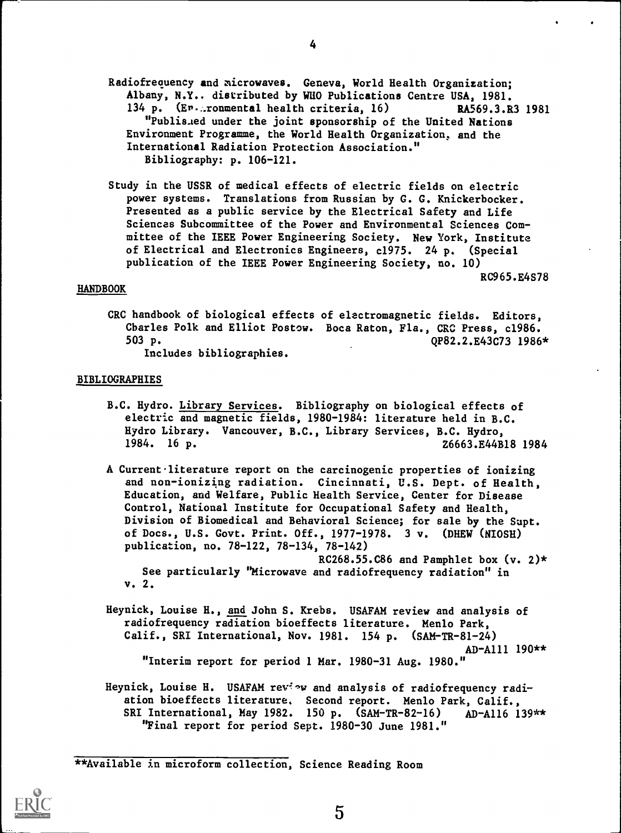Radiofrequency and microwaves. Geneva, World Health Organization; Albany, N.Y., distributed by WHO Publications Centre USA, 1981. 134 p. (Er. ronmental health criteria, 16) RA569.3.R3 1981 "Publis.ed under the joint sponsorship of the United Nations Environment Programme, the World Health Organization, and the International Radiation Protection Association." Bibliography: p. 106-121.

Study in the USSR of medical effects of electric fields on electric power systems. Translations from Russian by G. G. Knickerbocker. Presented as a public service by the Electrical Safety and Life Sciences Subcommittee of the Power and Environmental Sciences Committee of the IEEE Power Engineering Society. New York, Institute of Electrical and Electronics Engineers, c1975. 24 p. (Special publication of the IEEE Power Engineering Society, no. 10)

RC965.E4S78

#### HANDBOOK

CRC handbook of biological effects of electromagnetic fields. Editors, Cbarles Polk and Elliot Postow. Boca Raton, Fla., CRC Press, c1986. 503 p. QP82.2.E43C73 1986\*

Includes bibliographies.

#### BIBLIOGRAPHIES

- B.C. Hydro. Library Services. Bibliography on biological effects of electric and magnetic fields, 1980-1984: literature held in B.C. Hydro Library. Vancouver, B.C., Library Services, B.C. Hydro, 1984. 16 p. Z6663.E44B18 1984
- A Current literature report on the carcinogenic properties of ionizing and non-ionizing radiation. Cincinnati, U.S. Dept. of Health, Education, and Welfare, Public Health Service, Center for Disease Control, National Institute for Occupational Safety and Health, Division of Biomedical and Behavioral Science; for sale by the Supt. of Docs., U.S. Govt. Print. Off., 1977-1978. 3 v. (DHEW (NIOSH) publication, no. 78-122, 78-134, 78-142)

RC268.55.C86 and Pamphlet box  $(v. 2)*$ See particularly "Microwave and radiofrequency radiation" in v. 2.

- Heynick, Louise H., and John S. Krebs. USAFAM review and analysis of radiofrequency radiation bioeffects literature. Menlo Park, Calif., SRI International, Nov. 1981. 154 p. (SAM-TR-81-24) AD-A111 190\*\* "Interim report for period 1 Mar. 1980-31 Aug. 1980."
- Heynick, Louise H. USAFAM review and analysis of radiofrequency radiation bioeffects literature. Second report. Menlo Park, Calif., SRI International, May 1982. 150 p. (SAM-TR-82-16) AD-A116 139\*\* "Final report for period Sept. 1980-30 June 1981."

\*\*Available in microform collection, Science Reading Room

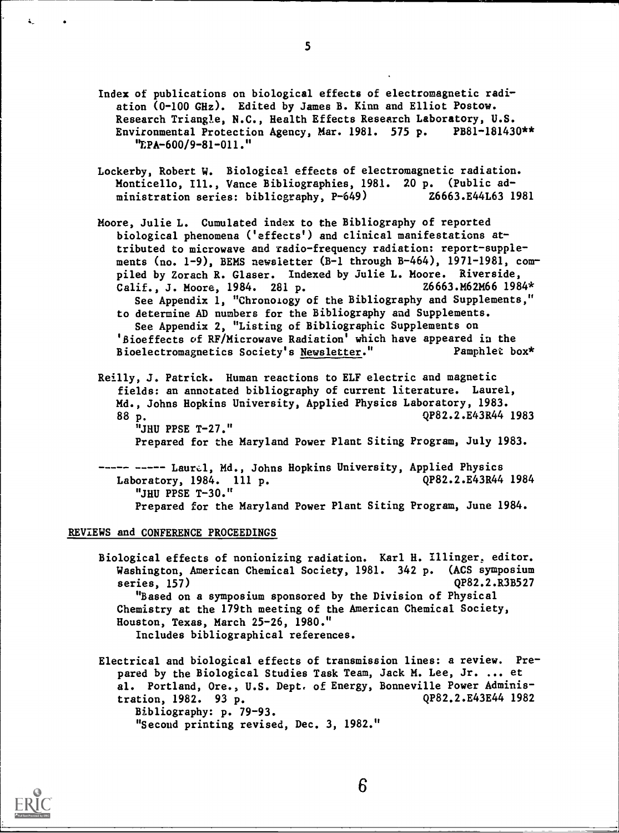- Index of publications on biological effects of electromagnetic radiation (0-100 GHz). Edited by James B. Kinn and Elliot Postow. Research Triangle, N.C., Health Effects Research Laboratory, U.S. Environmental Protection Agency, Mar. 1981. 575 p. PB81-181430\*\* "EPA-600/9-81-011."
- Lockerby, Robert W. Biological effects of electromagnetic radiation. Monticello, Ill., Vance Bibliographies, 1981. 20 p. (Public administration series: bibliography, P-649) 26663.E44L63 1981
- Moore, Julie L. Cumulated index to the Bibliography of reported biological phenomena ('effects') and clinical manifestations attributed to microwave and radio-frequency radiation: report-supplements (no. 1-9), BEMS newsletter (B-1 through B-464), 1971-1981, compiled by Zorach R. Glaser. Indexed by Julie L. Moore. Riverside,<br>Calif.. J. Moore. 1984. 281 p. 26663.M62M66 1984\* Calif., J. Moore, 1984. 281 p. See Appendix 1, "Chronology of the Bibliography and Supplements," to determine AD numbers for the Bibliography and Supplements. See Appendix 2, "Listing of Bibliographic Supplements on 'Bioeffects of RF/Microwave Radiation' which have appeared in the Bioelectromagnetics Society's Newsletter." Pamphlet box\*
- Reilly, J. Patrick. Human reactions to ELF electric and magnetic fields: an annotated bibliography of current literature. Laurel, Md., Johns Hopkins University, Applied Physics Laboratory, 1983. 88 p. (2008) 288 p. "JHU PPSE T-27."

Prepared for the Maryland Power Plant Siting Program, July 1983.

----- ----- Laurel, Md., Johns Hopkins University, Applied Physics Laboratory, 1984. 111 p. (282.2.E43R44 1984) "JHU PPSE T-30." Prepared for the Maryland Power Plant Siting Program, June 1984.

#### REVIEWS and CONFERENCE PROCEEDINGS

Biological effects of nonionizing radiation. Karl H. Illinger, editor. Washington, American Chemical Society, 1981. 342 p. (ACS symposium series, 157) QP82.2.R3B527 "Based on a symposium sponsored by the Division of Physical Chemistry at the 179th meeting of the American Chemical Society, Houston, Texas, March 25-26, 1980." Includes bibliographical references.

Electrical and biological effects of transmission lines: a review. Prepared by the Biological Studies Task Team, Jack M. Lee, Jr. ... et al. Portland, Ore., U.S. Dept, of Energy, Bonneville Power Administration, 1982. 93 p. QP82.2.E43E44 1982 Bibliography: p. 79-93. "Second printing revised, Dec. 3, 1982."



5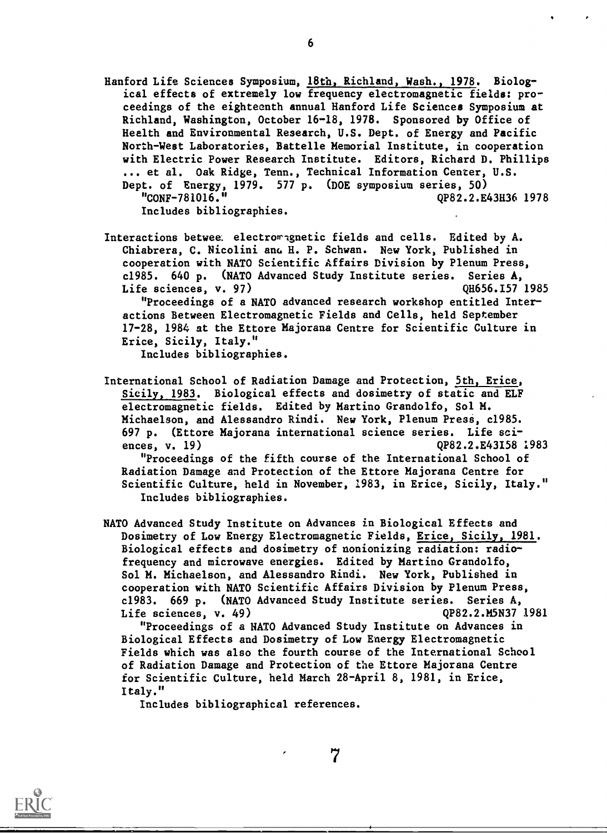- Hanford Life Sciences Symposium, 18th, Richland, Wash., 1978. Biological effects of extremely low frequency electromagnetic fields: proceedings of the eighteenth annual Hanford Life Sciences Symposium at Richland, Washington, October 16-18, 1978. Sponsored by Office of Health and Environmental Research, U.S. Dept. of Energy and Pacific North-West Laboratories, Battelle Memorial Institute, in cooperation with Electric Power Research Institute. Editors, Richard D. Phillips ... et al. Oak Ridge, Tenn., Technical Information Center, U.S. Dept. of Energy, 1979. 577 p. (DOE symposium series, 50) "CONF-781016." QP82.2.E43H36 1978 Includes bibliographies.
- Interactions betwee. electromagnetic fields and cells. Edited by A. Chiabrera, C. Nicolini ano H. P. Schwan. New York, Published in cooperation with NATO Scientific Affairs Division by Plenum Press, c1985. 640 p. (NATO Advanced Study Institute series. Series A, Life sciences, v. 97) QH656.I57 1985

"Proceedings of a NATO advanced research workshop entitled Interactions Between Electromagnetic Fields and Cells, held September 17-28, 1984 at the Ettore Majorana Centre for Scientific Culture in Erice, Sicily, Italy."

Includes bibliographies.

- International School of Radiation Damage and Protection, 5th, Erice, Sicily, 1983. Biological effects and dosimetry of static and ELF electromagnetic fields. Edited by Martino Grandolfo, Sol M. Michaelson, and Alessandro Rindi. New York, Plenum Press, c1985. 697 p. (Ettore Majorana international science series. Life sciences, v. 19) QP82.2.E43I58 1983 "Proceedings of the fifth course of the International School of Radiation Damage and Protection of the Ettore Majorana Centre for Scientific Culture, held in November, 1983, in Erice, Sicily, Italy." Includes bibliographies.
- NATO Advanced Study Institute on Advances in Biological Effects and Dosimetry of Low Energy Electromagnetic Fields, Erice, Sicily, 1981. Biological effects and dosimetry of nonionizing radiation: radiofrequency and microwave energies. Edited by Martino Grandolfo, Sol M. Michaelson, and Alessandro Rindi. New York, Published in cooperation with NATO Scientific Affairs Division by Plenum Press, c1983. 669 p. (NATO Advanced Study Institute series. Series A, Life sciences, v. 49) QP82.2.M5N37 1981

"Proceedings of a NATO Advanced Study Institute on Advances in Biological Effects and Dosimetry of Low Energy Electromagnetic Fields which was also the fourth course of the International School of Radiation Damage and Protection of the Ettore Majorana Centre for Scientific Culture, held March 28-April 8, 1981, in Erice, Italy."

7

Includes bibliographical references.

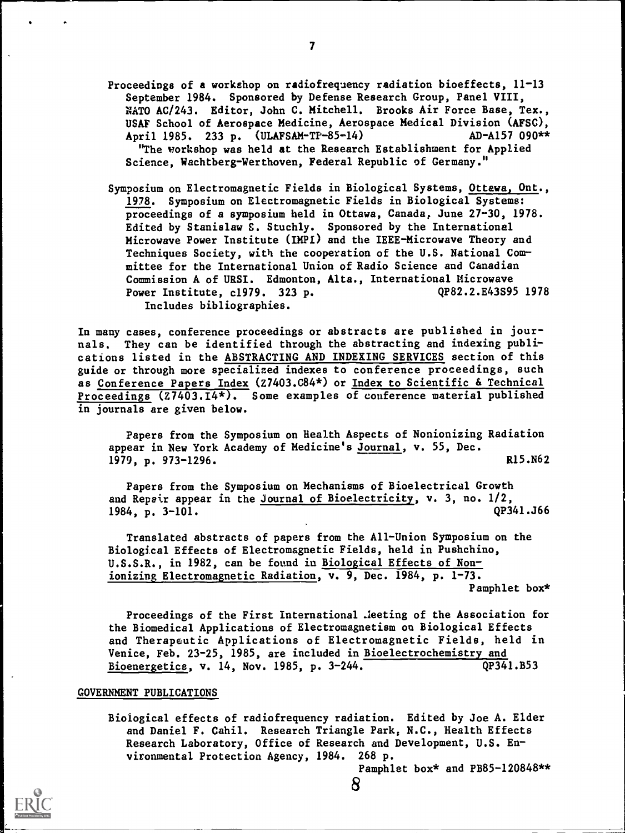- Proceedings of a workshop on radiofrequency radiation bioeffects, 11-13 September 1984. Sponsored by Defense Research Group, Panel VIII, NATO AC/243. Editor, John C. Mitchell. Brooks Air Force Base, Tex., USAF School of Aerospace Medicine, Aerospace Medical Division (AFSC), April 1985. 233 p. (ULAFSAM-TF-85-14) AD-A157 090\*\* "The workshop was held at the Research Establishment for Applied Science, Wachtberg-Werthoven, Federal Republic of Germany."
- Symposium on Electromagnetic Fields in Biological Systems, Ottawa, Ont., 1978. Symposium on Electromagnetic Fields in Biological Systems: proceedings of a symposium held in Ottawa, Canada, June 27-30, 1978. Edited by Stanislaw S. Stuchly. Sponsored by the International Microwave Power Institute (IMPI) and the IEEE-Microwave Theory and Techniques Society, with the cooperation of the U.S. National Committee for the International Union of Radio Science and Canadian Commission A of URSI. Edmonton, Alta., International Microwave Power Institute, c1979. 323 p. QP82.2.E43S95 1978 Includes bibliographies.

In many cases, conference proceedings or abstracts are published in journals. They can be identified through the abstracting and indexing publications listed in the ABSTRACTING AND INDEXING SERVICES section of this guide or through more specialized indexes to conference proceedings, such as Conference Papers Index (Z7403.C84\*) or Index to Scientific & Technical Proceedings (Z7403.I4\*). Some examples of conference material published in journals are given below.

Papers from the Symposium on Health Aspects of Nonionizing Radiation appear in New York Academy of Medicine's Journal, v. 55, Dec. 1979, p. 973–1296. R15.N62

Papers from the Symposium on Mechanisms of Bioelectrical Growth and Repair appear in the *Journal of Bioelectricity*, v. 3, no.  $1/2$ ,  $1984$ , p.  $3-101$ . (200341.366) 1984, p.  $3-101$ .

Translated abstracts of papers from the All-Union Symposium on the Biological Effects of Electromagnetic Fields, held in Pushchino, U.S.S.R., in 1982, can be found in Biological Effects of Nonionizing Electromagnetic Radiation, v. 9, Dec. 1984, p. 1-73. Pamphlet box\*

Proceedings of the First International .leeting of the Association for the Biomedical Applications of Electromagnetism on Biological Effects and Therapeutic Applications of Electromagnetic Fields, held in Venice, Feb. 23-25, 1985, are included in Bioelectrochemistry and Bioenergetics, v. 14, Nov. 1985, p. 3-244. QP341.B53

### GOVERNMENT PUBLICATIONS

Biological effects of radiofrequency radiation. Edited by Joe A. Elder and Daniel F. Cahil. Research Triangle Park, N.C., Health Effects Research Laboratory, Office of Research and Development, U.S. Environmental Protection Agency, 1984. 268 p.

8

Pamphlet box\* and PB85-120848\*\*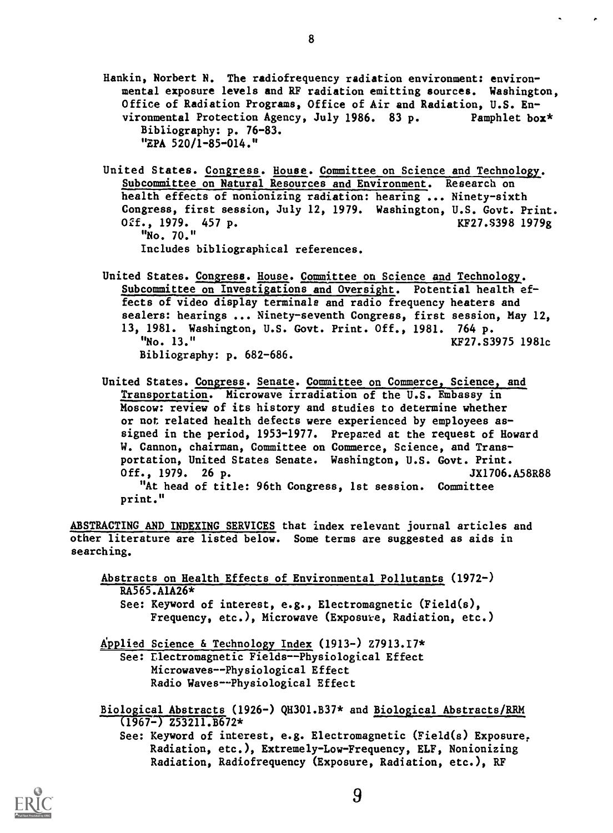- Hankin, Norbert N. The radiofrequency radiation environment: environmental exposure levels and RF radiation emitting sources. Washington, Office of Radiation Programs, Office of Air and Radiation, U.S. Environmental Protection Agency, July 1986. 83 p. Pamphlet box\* Bibliography: p. 76-83. "EPA 520/1-85-014."
- United States. Congress. House. Committee on Science and Technology. Subcommittee on Natural Resources and Environment. Research on health effects of nonionizing radiation: hearing ... Ninety-sixth Congress, first session, July 12, 1979. Washington, U.S. Govt. Print. 02f., 1979. 457 p. KE27. 8398 1979g "No. 70." Includes bibliographical references.
- United States. Congress. House. Committee on Science and Technology.. Subcommittee on Investigations and Oversight. Potential health effects of video display terminals and radio frequency heaters and sealers: hearings ... Ninety-seventh Congress, first session, May 12, 13, 1981. Washington, U.S. Govt. Print. Off., 1981. 764 p. KF27.S3975 1981c Bibliography: p. 682-686.
- United States. Congress. Senate. Committee on Commerce, Science, and Transportation. Microwave irradiation of the U.S. Embassy in Moscow: review of its history and studies to determine whether or not related health defects were experienced by employees assigned in the period, 1953-1977. Prepared at the request of Howard W. Cannon, chairman, Committee on Commerce, Science, and Transportation, United States Senate. Washington, U.S. Govt. Print. Off., 1979. 26 p. 3X1706.A58R88 "At head of title: 96th Congress, 1st session. Committee print."

ABSTRACTING AND INDEXING SERVICES that index relevant journal articles and other literature are listed below. Some terms are suggested as aids in searching.

Abstracts on Health Effects of Environmental Pollutants (1972-) RA565.A1A26\* See: Keyword of interest, e.g., Electromagnetic (Field(s),

Frequency, etc.), Microwave (Exposure, Radiation, etc.)

Applied Science & Technology Index (1913-) Z7913.17\*

See: Electromagnetic Fields--Physiological Effect Microwaves--Physiological Effect Radio Waves--Physiological Effect

- Biological Abstracts (1926-) QH301.B37\* and Biological Abstracts/RRM  $(1967-)$  Z53211.B672\*
	- See: Keyword of interest, e.g. Electromagnetic (Field(s) Exposure, Radiation, etc.), Extremely-Low-Frequency, ELF, Nonionizing Radiation, Radiofrequency (Exposure, Radiation, etc.), RF

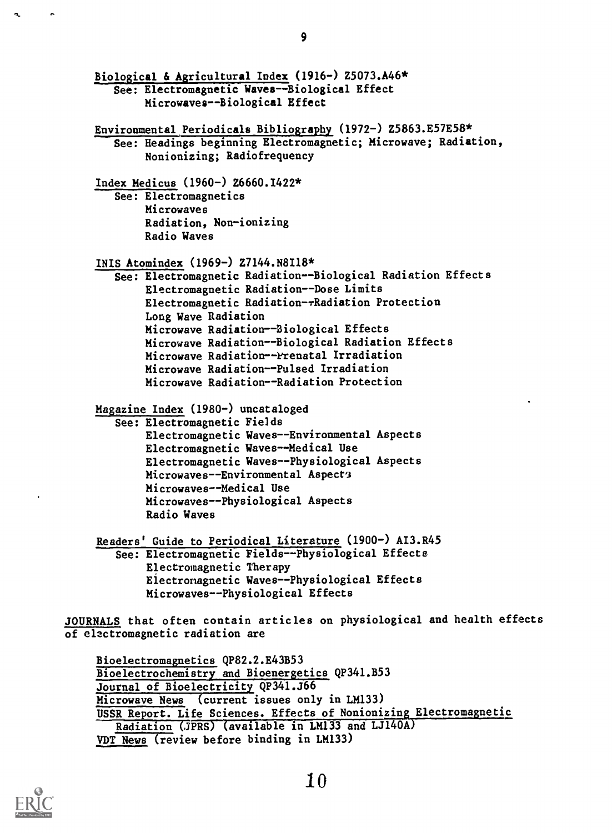```
Biological & Agricultural Index (1916-) Z5073.A46*
       See: Electromagnetic Waves-Biological Effect
            Microwaves--Biological Effect
    Environmental Periodicals Bibliography (1972-) Z5863.E57E58*
       See: Headings beginning Electromagnetic; Microwave; Radiation,
            Nonionizing; Radiofrequency
    Index Medicus (1960-) Z6660.1422*
        See: Electromagnetics
            Microwaves
            Radiation, Non-ionizing
            Radio Waves
    IBIS Atomindex (1969-) Z7144.N8118*
        See: Electromagnetic Radiation--Biological Radiation Effects
            Electromagnetic Radiation--Dose Limits
            Electromagnetic Radiation-rRadiation Protection
            Long Wave Radiation
            Microwave Radiation--Biological Effects
            Microwave Radiation--Biological Radiation Effects
            Microwave Radiation--Prenatal Irradiation
            Microwave Radiation--Pulsed Irradiation
            Microwave Radiation--Radiation Protection
    Magazine Index (1980-) uncataloged
        See: Electromagnetic Fields
            Electromagnetic Waves--Environmental Aspects
            Electromagnetic Waves--Medical Use
             Electromagnetic Waves--Physiological Aspects
            Microwaves--Environmental Aspect's
            Microwaves--Medical Use
            Microwaves--Physiological Aspects
            Radio Waves
     Readers' Guide to Periodical Literature (1900-) AI3.R45
        See: Electromagnetic Fields--Physiological Effects
             Electromagnetic Therapy
             Electromagnetic Waves--Physiological Effects
            Microwaves--Physiological Effects
JOURNALS that often contain articles on physiological and health effects
of electromagnetic radiation are
     Bioelectromagnetics QP82.2.E43B53
     Bioelectrochemistry and Bioenergetics QP341.B53
     Journal of Bioelectricity QP341.J66
     Microwave News (current issues only in LM133)
     USSR Report. Life Sciences. Effects of Nonionizing Electromagnetic
```

```
Radiation (JPRS) (available in LM133 and LJ140A)
```
'0

```
VDT News (review before binding in LM133)
```


°A.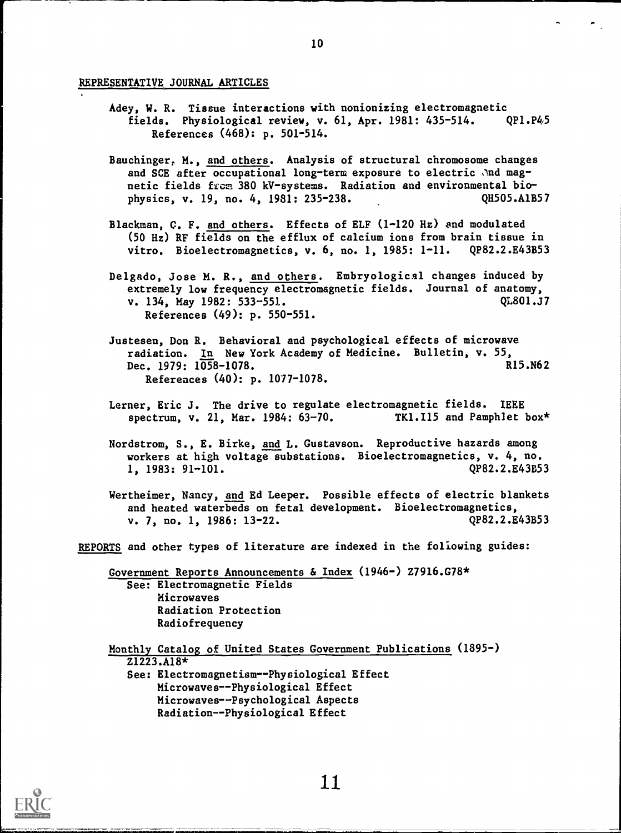#### REPRESENTATIVE JOURNAL ARTICLES

- Adey, W. R. Tissue interactions with nonionizing electromagnetic fields. Physiological review, v. 61, Apr. 1981: 435-514. QP1.P45 References (468): p. 501-514.
- Bauchinger, M., and others. Analysis of structural chromosome changes and SCE after occupational long-term exposure to electric and magnetic fields from 380 kV-systems. Radiation and environmental biophysics, v. 19, no. 4, 1981: 235-238. Q1505.A1B57
- Blackman, C. F. and others. Effects of ELF (1-120 Hz) and modulated (50 Hz) RF fields on the efflux of calcium ions from brain tissue in vitro. Bioelectromagnetics, v. 6, no. 1, 1985: 1-11. QP82.2.E43B53
- Delgado, Jose M. R., and others. Embryological changes induced by extremely low frequency electromagnetic fields. Journal of anatomy,<br>v. 134. May 1982: 533-551. v. 134, May 1982: 533-551. References (49): p. 550-551.
- Justesen, Don R. Behavioral and psychological effects of microwave radiation. In New York Academy of Medicine. Bulletin, v. 55,<br>Dec. 1979: 1058-1078. R15.N62 Dec. 1979:  $1058-1078$ . References (40): p. 1077-1078.
- Lerner, Eric J. The drive to regulate electromagnetic fields. IEEE spectrum, v. 21, Mar. 1984: 63-70. TK1.I15 and Pamphlet box\*
- Nordstrom, S., E. Birke, and L. Gustayson. Reproductive hazards among workers at high voltage substations. Bioelectromagnetics, v. 4, no. 1, 1983: 91-101. QP82.2.E43B53

Wertheimer, Nancy, and Ed Leeper. Possible effects of electric blankets and heated waterbeds on fetal development. Bioelectromagnetics, v. 7, no. 1, 1986: 13-22. QP82.2.E43B53

REPORTS and other types of literature are indexed in the following guides:

Government Reports Announcements & Index (1946-) Z7916.G78\* See: Electromagnetic Fields Microwaves Radiation Protection Radiofrequency

Monthly Catalog of United States Government Publications (1895-) Z1223.A18\* See: Electromagnetism--Physiological Effect Microwaves--Physiological Effect Microwaves--Psychological Aspects Radiation--Physiological Effect

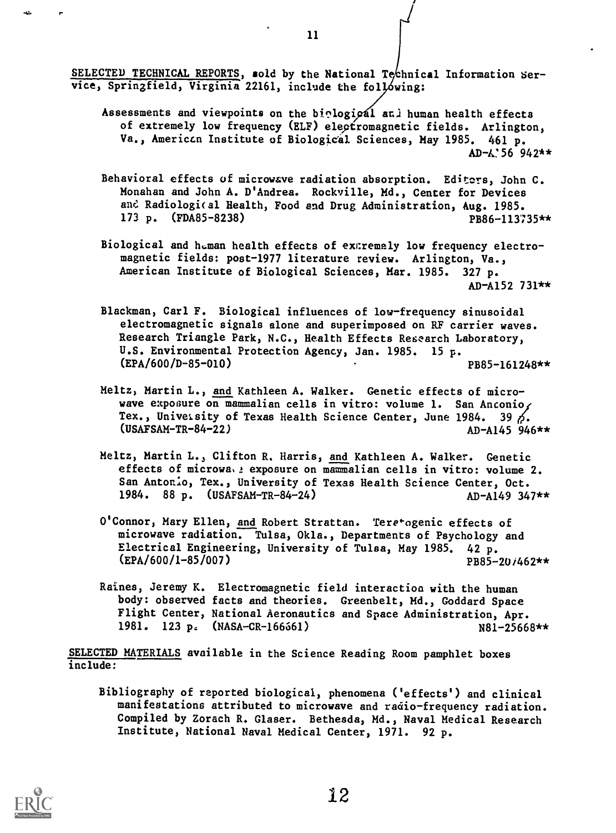SELECTED TECHNICAL REPORTS, sold by the National Technical Information Service, Springfield, Virginia 22161, include the following:

- Assessments and viewpoints on the biological and human health effects of extremely low frequency (ELF) electromagnetic fields. Arlington, Va., American Institute of Biological Sciences, May 1985. 461 p.  $AD - A'56942**$
- Behavioral effects of microwave radiation absorption. Editors, John C. Monahan and John A. D'Andrea. Rockville, Md., Center for Devices and Radiologi(al Health, Food and Drug Administration, Aug. 1985. 173 p. (FDA85-8238) PB86-113735\*\*
- Biological and human health effects of extremely low frequency electromagnetic fields: post-1977 literature review. Arlington, Va., American Institute of Biological Sciences, Mar. 1985. 327 p. AD-A152 731\*\*
- Blackman, Carl F. Biological influences of low-frequency sinusoidal electromagnetic signals alone and superimposed on RF carrier waves. Research Triangle Park, N.C., Health Effects Research Laboratory, U.S. Environmental Protection Agency, Jan. 1985. 15 p. (EPA/600/D-85-010) PB85-161248\*\*
- Heitz, Martin L., and Kathleen A. Walker. Genetic effects of microwave exposure on mammalian cells in vitro: volume 1. San Anconio<sub>1</sub> Tex., University of Texas Health Science Center, June 1984. 39  $\delta$ .  $(USAFSAM-TR-84-22)$   $AD-4145.946**$
- Meltz, Martin L., Clifton R. Harris, and Kathleen A. Walker. Genetic effects of microwa<sub>bl</sub> exposure on mammalian cells in vitro: volume 2. San Antonio, Tex., University of Texas Health Science Center, Oct. 1984. 88 p. (USAFSAM-TR-84-24) AD-A149 347\*\*
- O'Connor, Mary Ellen, and Robert Strattan. Tere\*ogenic effects of microwave radiation. Tulsa, Okla., Departments of Psychology and Electrical Engineering, University of Tulsa, May 1985. 42 p.  $(EPA/600/1-85/007)$  PB85-20/462\*\*
- Raines, Jeremy K. Electromagnetic field interaction with the human body: observed facts and theories. Greenbelt, Md., Goddard Space Flight Center, National Aeronautics and Space Administration, Apr. 1981. 123 p. (NASA-CR-166561) N81-25668\*\*

SELECTED MATERIALS available in the Science Reading Room pamphlet boxes include:

Bibliography of reported biological, phenomena ('effects') and clinical manifestations attributed to microwave and radio-frequency radiation. Compiled by Zorach R. Glaser. Bethesda, Md., Naval Medical Research Institute, National Naval Medical Center, 1971. 92 p.



11